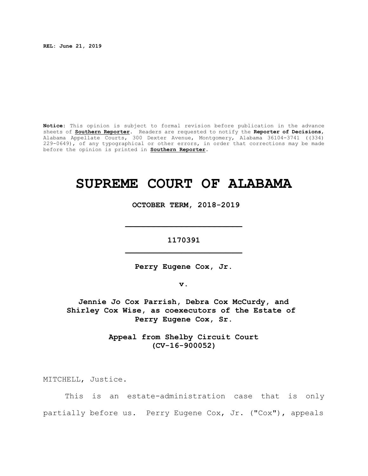**REL: June 21, 2019**

**Notice:** This opinion is subject to formal revision before publication in the advance sheets of **Southern Reporter**. Readers are requested to notify the **Reporter of Decisions**, Alabama Appellate Courts, 300 Dexter Avenue, Montgomery, Alabama 36104-3741 ((334) 229-0649), of any typographical or other errors, in order that corrections may be made before the opinion is printed in **Southern Reporter**.

# **SUPREME COURT OF ALABAMA**

 **OCTOBER TERM, 2018-2019**

**1170391 \_\_\_\_\_\_\_\_\_\_\_\_\_\_\_\_\_\_\_\_\_\_\_\_\_**

**\_\_\_\_\_\_\_\_\_\_\_\_\_\_\_\_\_\_\_\_\_\_\_\_\_**

**Perry Eugene Cox, Jr.**

**v.**

**Jennie Jo Cox Parrish, Debra Cox McCurdy, and Shirley Cox Wise, as coexecutors of the Estate of Perry Eugene Cox, Sr.**

> **Appeal from Shelby Circuit Court (CV-16-900052)**

MITCHELL, Justice.

This is an estate-administration case that is only partially before us. Perry Eugene Cox, Jr. ("Cox"), appeals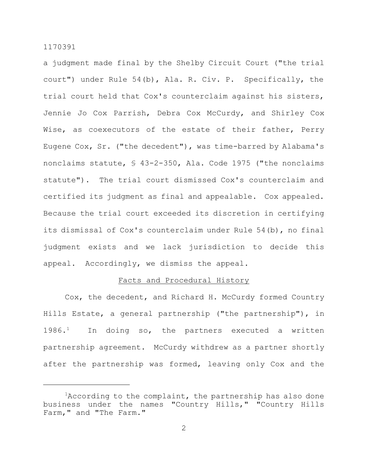a judgment made final by the Shelby Circuit Court ("the trial court") under Rule 54(b), Ala. R. Civ. P. Specifically, the trial court held that Cox's counterclaim against his sisters, Jennie Jo Cox Parrish, Debra Cox McCurdy, and Shirley Cox Wise, as coexecutors of the estate of their father, Perry Eugene Cox, Sr. ("the decedent"), was time-barred by Alabama's nonclaims statute, § 43-2-350, Ala. Code 1975 ("the nonclaims statute"). The trial court dismissed Cox's counterclaim and certified its judgment as final and appealable. Cox appealed. Because the trial court exceeded its discretion in certifying its dismissal of Cox's counterclaim under Rule 54(b), no final judgment exists and we lack jurisdiction to decide this appeal. Accordingly, we dismiss the appeal.

### Facts and Procedural History

Cox, the decedent, and Richard H. McCurdy formed Country Hills Estate, a general partnership ("the partnership"), in  $1986.<sup>1</sup>$  In doing so, the partners executed a written partnership agreement. McCurdy withdrew as a partner shortly after the partnership was formed, leaving only Cox and the

 $1$ According to the complaint, the partnership has also done business under the names "Country Hills," "Country Hills Farm," and "The Farm."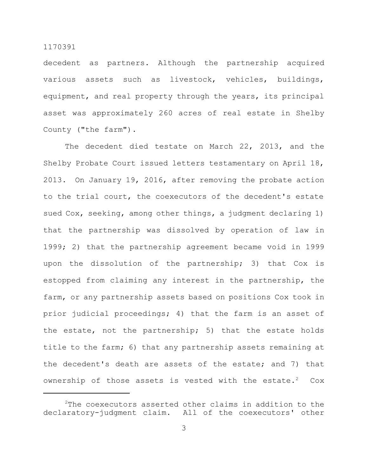decedent as partners. Although the partnership acquired various assets such as livestock, vehicles, buildings, equipment, and real property through the years, its principal asset was approximately 260 acres of real estate in Shelby County ("the farm").

The decedent died testate on March 22, 2013, and the Shelby Probate Court issued letters testamentary on April 18, 2013. On January 19, 2016, after removing the probate action to the trial court, the coexecutors of the decedent's estate sued Cox, seeking, among other things, a judgment declaring 1) that the partnership was dissolved by operation of law in 1999; 2) that the partnership agreement became void in 1999 upon the dissolution of the partnership; 3) that Cox is estopped from claiming any interest in the partnership, the farm, or any partnership assets based on positions Cox took in prior judicial proceedings; 4) that the farm is an asset of the estate, not the partnership; 5) that the estate holds title to the farm; 6) that any partnership assets remaining at the decedent's death are assets of the estate; and 7) that ownership of those assets is vested with the estate.<sup>2</sup>  $Cox$ 

 $2$ The coexecutors asserted other claims in addition to the declaratory-judgment claim. All of the coexecutors' other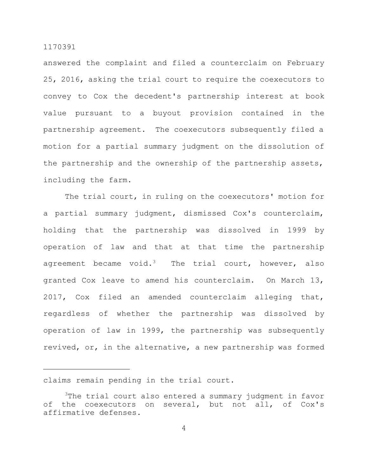answered the complaint and filed a counterclaim on February 25, 2016, asking the trial court to require the coexecutors to convey to Cox the decedent's partnership interest at book value pursuant to a buyout provision contained in the partnership agreement. The coexecutors subsequently filed a motion for a partial summary judgment on the dissolution of the partnership and the ownership of the partnership assets, including the farm.

The trial court, in ruling on the coexecutors' motion for a partial summary judgment, dismissed Cox's counterclaim, holding that the partnership was dissolved in 1999 by operation of law and that at that time the partnership agreement became void.<sup>3</sup> The trial court, however, also granted Cox leave to amend his counterclaim. On March 13, 2017, Cox filed an amended counterclaim alleging that, regardless of whether the partnership was dissolved by operation of law in 1999, the partnership was subsequently revived, or, in the alternative, a new partnership was formed

claims remain pending in the trial court.

<sup>&</sup>lt;sup>3</sup>The trial court also entered a summary judgment in favor of the coexecutors on several, but not all, of Cox's affirmative defenses.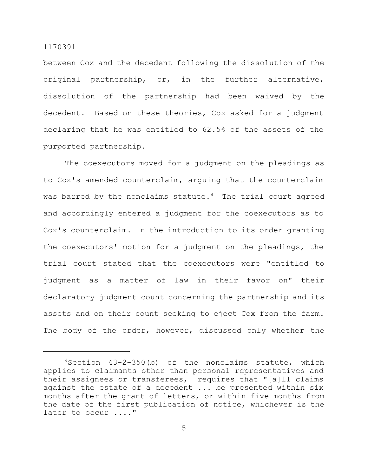between Cox and the decedent following the dissolution of the original partnership, or, in the further alternative, dissolution of the partnership had been waived by the decedent. Based on these theories, Cox asked for a judgment declaring that he was entitled to 62.5% of the assets of the purported partnership.

The coexecutors moved for a judgment on the pleadings as to Cox's amended counterclaim, arguing that the counterclaim was barred by the nonclaims statute. $4$  The trial court agreed and accordingly entered a judgment for the coexecutors as to Cox's counterclaim. In the introduction to its order granting the coexecutors' motion for a judgment on the pleadings, the trial court stated that the coexecutors were "entitled to judgment as a matter of law in their favor on" their declaratory-judgment count concerning the partnership and its assets and on their count seeking to eject Cox from the farm. The body of the order, however, discussed only whether the

 $4$ Section  $43-2-350$  (b) of the nonclaims statute, which applies to claimants other than personal representatives and their assignees or transferees, requires that "[a]ll claims against the estate of a decedent ... be presented within six months after the grant of letters, or within five months from the date of the first publication of notice, whichever is the later to occur ...."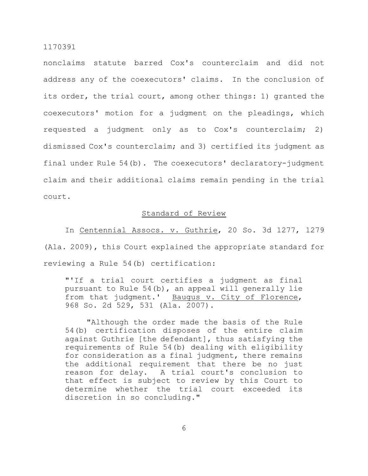nonclaims statute barred Cox's counterclaim and did not address any of the coexecutors' claims. In the conclusion of its order, the trial court, among other things: 1) granted the coexecutors' motion for a judgment on the pleadings, which requested a judgment only as to Cox's counterclaim; 2) dismissed Cox's counterclaim; and 3) certified its judgment as final under Rule 54(b). The coexecutors' declaratory-judgment claim and their additional claims remain pending in the trial court.

## Standard of Review

In Centennial Assocs. v. Guthrie, 20 So. 3d 1277, 1279 (Ala. 2009), this Court explained the appropriate standard for reviewing a Rule 54(b) certification:

"'If a trial court certifies a judgment as final pursuant to Rule 54(b), an appeal will generally lie from that judgment.' Baugus v. City of Florence, 968 So. 2d 529, 531 (Ala. 2007).

"Although the order made the basis of the Rule 54(b) certification disposes of the entire claim against Guthrie [the defendant], thus satisfying the requirements of Rule 54(b) dealing with eligibility for consideration as a final judgment, there remains the additional requirement that there be no just reason for delay. A trial court's conclusion to that effect is subject to review by this Court to determine whether the trial court exceeded its discretion in so concluding."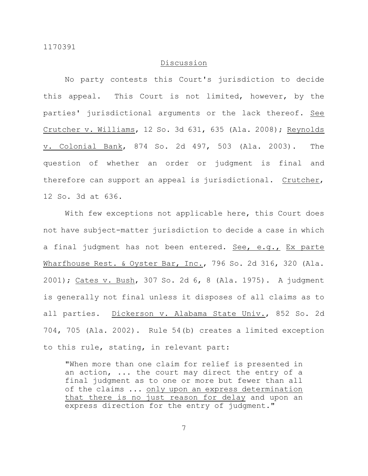## Discussion

No party contests this Court's jurisdiction to decide this appeal. This Court is not limited, however, by the parties' jurisdictional arguments or the lack thereof. See Crutcher v. Williams, 12 So. 3d 631, 635 (Ala. 2008); Reynolds v. Colonial Bank, 874 So. 2d 497, 503 (Ala. 2003). The question of whether an order or judgment is final and therefore can support an appeal is jurisdictional. Crutcher, 12 So. 3d at 636.

With few exceptions not applicable here, this Court does not have subject-matter jurisdiction to decide a case in which a final judgment has not been entered. See, e.g., Ex parte Wharfhouse Rest. & Oyster Bar, Inc., 796 So. 2d 316, 320 (Ala. 2001); Cates v. Bush, 307 So. 2d 6, 8 (Ala. 1975). A judgment is generally not final unless it disposes of all claims as to all parties. Dickerson v. Alabama State Univ., 852 So. 2d 704, 705 (Ala. 2002). Rule 54(b) creates a limited exception to this rule, stating, in relevant part:

"When more than one claim for relief is presented in an action, ... the court may direct the entry of a final judgment as to one or more but fewer than all of the claims ... only upon an express determination that there is no just reason for delay and upon an express direction for the entry of judgment."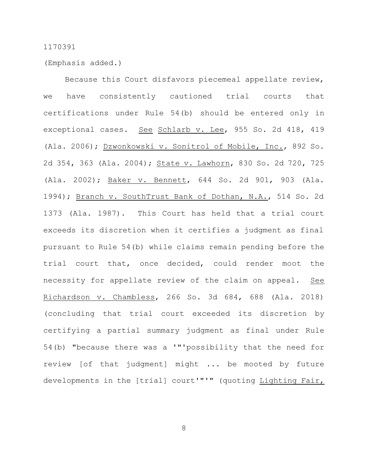(Emphasis added.)

Because this Court disfavors piecemeal appellate review, we have consistently cautioned trial courts that certifications under Rule 54(b) should be entered only in exceptional cases. See Schlarb v. Lee, 955 So. 2d 418, 419 (Ala. 2006); Dzwonkowski v. Sonitrol of Mobile, Inc., 892 So. 2d 354, 363 (Ala. 2004); State v. Lawhorn, 830 So. 2d 720, 725 (Ala. 2002); Baker v. Bennett, 644 So. 2d 901, 903 (Ala. 1994); Branch v. SouthTrust Bank of Dothan, N.A., 514 So. 2d 1373 (Ala. 1987). This Court has held that a trial court exceeds its discretion when it certifies a judgment as final pursuant to Rule 54(b) while claims remain pending before the trial court that, once decided, could render moot the necessity for appellate review of the claim on appeal. See Richardson v. Chambless, 266 So. 3d 684, 688 (Ala. 2018) (concluding that trial court exceeded its discretion by certifying a partial summary judgment as final under Rule 54(b) "because there was a '"'possibility that the need for review [of that judgment] might ... be mooted by future developments in the [trial] court'"'" (quoting Lighting Fair,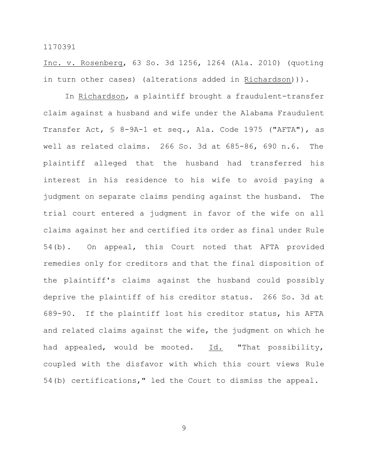Inc. v. Rosenberg, 63 So. 3d 1256, 1264 (Ala. 2010) (quoting in turn other cases) (alterations added in Richardson))).

In Richardson, a plaintiff brought a fraudulent-transfer claim against a husband and wife under the Alabama Fraudulent Transfer Act, § 8-9A-1 et seq., Ala. Code 1975 ("AFTA"), as well as related claims. 266 So. 3d at 685-86, 690 n.6. The plaintiff alleged that the husband had transferred his interest in his residence to his wife to avoid paying a judgment on separate claims pending against the husband. The trial court entered a judgment in favor of the wife on all claims against her and certified its order as final under Rule 54(b). On appeal, this Court noted that AFTA provided remedies only for creditors and that the final disposition of the plaintiff's claims against the husband could possibly deprive the plaintiff of his creditor status. 266 So. 3d at 689-90. If the plaintiff lost his creditor status, his AFTA and related claims against the wife, the judgment on which he had appealed, would be mooted. Id. "That possibility, coupled with the disfavor with which this court views Rule 54(b) certifications," led the Court to dismiss the appeal.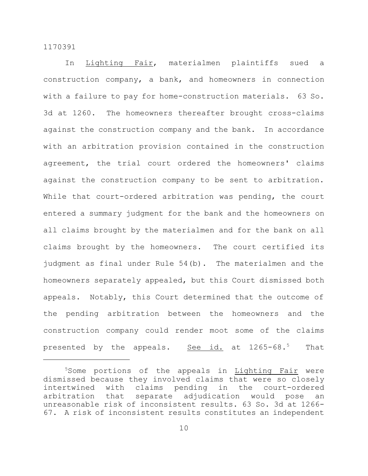In Lighting Fair, materialmen plaintiffs sued a construction company, a bank, and homeowners in connection with a failure to pay for home-construction materials. 63 So. 3d at 1260. The homeowners thereafter brought cross-claims against the construction company and the bank. In accordance with an arbitration provision contained in the construction agreement, the trial court ordered the homeowners' claims against the construction company to be sent to arbitration. While that court-ordered arbitration was pending, the court entered a summary judgment for the bank and the homeowners on all claims brought by the materialmen and for the bank on all claims brought by the homeowners. The court certified its judgment as final under Rule 54(b). The materialmen and the homeowners separately appealed, but this Court dismissed both appeals. Notably, this Court determined that the outcome of the pending arbitration between the homeowners and the construction company could render moot some of the claims presented by the appeals. See id. at 1265-68.<sup>5</sup> That

<sup>&</sup>lt;sup>5</sup>Some portions of the appeals in Lighting Fair were dismissed because they involved claims that were so closely intertwined with claims pending in the court-ordered arbitration that separate adjudication would pose an unreasonable risk of inconsistent results. 63 So. 3d at 1266- 67. A risk of inconsistent results constitutes an independent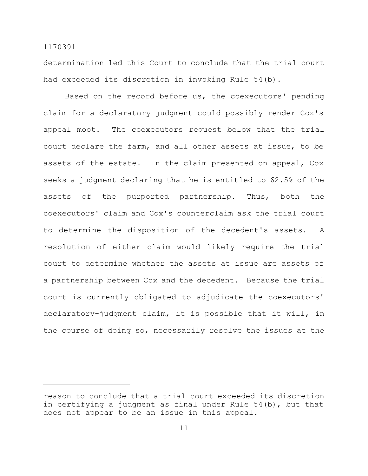determination led this Court to conclude that the trial court had exceeded its discretion in invoking Rule 54(b).

Based on the record before us, the coexecutors' pending claim for a declaratory judgment could possibly render Cox's appeal moot. The coexecutors request below that the trial court declare the farm, and all other assets at issue, to be assets of the estate. In the claim presented on appeal, Cox seeks a judgment declaring that he is entitled to 62.5% of the assets of the purported partnership. Thus, both the coexecutors' claim and Cox's counterclaim ask the trial court to determine the disposition of the decedent's assets. A resolution of either claim would likely require the trial court to determine whether the assets at issue are assets of a partnership between Cox and the decedent. Because the trial court is currently obligated to adjudicate the coexecutors' declaratory-judgment claim, it is possible that it will, in the course of doing so, necessarily resolve the issues at the

reason to conclude that a trial court exceeded its discretion in certifying a judgment as final under Rule 54(b), but that does not appear to be an issue in this appeal.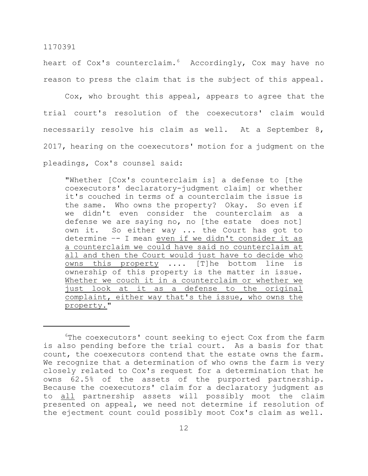heart of Cox's counterclaim.<sup>6</sup> Accordingly, Cox may have no reason to press the claim that is the subject of this appeal.

Cox, who brought this appeal, appears to agree that the trial court's resolution of the coexecutors' claim would necessarily resolve his claim as well. At a September 8, 2017, hearing on the coexecutors' motion for a judgment on the pleadings, Cox's counsel said:

"Whether [Cox's counterclaim is] a defense to [the coexecutors' declaratory-judgment claim] or whether it's couched in terms of a counterclaim the issue is the same. Who owns the property? Okay. So even if we didn't even consider the counterclaim as a defense we are saying no, no [the estate does not] own it. So either way ... the Court has got to determine -- I mean even if we didn't consider it as a counterclaim we could have said no counterclaim at all and then the Court would just have to decide who owns this property .... [T]he bottom line is ownership of this property is the matter in issue. Whether we couch it in a counterclaim or whether we just look at it as a defense to the original complaint, either way that's the issue, who owns the property."

<sup>&</sup>lt;sup>6</sup>The coexecutors' count seeking to eject Cox from the farm is also pending before the trial court. As a basis for that count, the coexecutors contend that the estate owns the farm. We recognize that a determination of who owns the farm is very closely related to Cox's request for a determination that he owns 62.5% of the assets of the purported partnership. Because the coexecutors' claim for a declaratory judgment as to all partnership assets will possibly moot the claim presented on appeal, we need not determine if resolution of the ejectment count could possibly moot Cox's claim as well.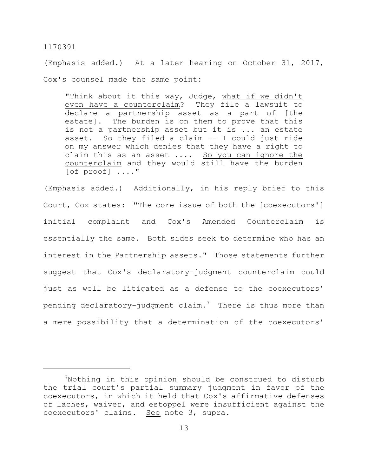(Emphasis added.) At a later hearing on October 31, 2017, Cox's counsel made the same point:

"Think about it this way, Judge, what if we didn't even have a counterclaim? They file a lawsuit to declare a partnership asset as a part of [the estate]. The burden is on them to prove that this is not a partnership asset but it is ... an estate asset. So they filed a claim –- I could just ride on my answer which denies that they have a right to claim this as an asset .... So you can ignore the counterclaim and they would still have the burden [of proof] ...."

(Emphasis added.) Additionally, in his reply brief to this Court, Cox states: "The core issue of both the [coexecutors'] initial complaint and Cox's Amended Counterclaim is essentially the same. Both sides seek to determine who has an interest in the Partnership assets." Those statements further suggest that Cox's declaratory-judgment counterclaim could just as well be litigated as a defense to the coexecutors' pending declaratory-judgment claim.<sup>7</sup> There is thus more than a mere possibility that a determination of the coexecutors'

<sup>&</sup>lt;sup>7</sup>Nothing in this opinion should be construed to disturb the trial court's partial summary judgment in favor of the coexecutors, in which it held that Cox's affirmative defenses of laches, waiver, and estoppel were insufficient against the coexecutors' claims. See note 3, supra.